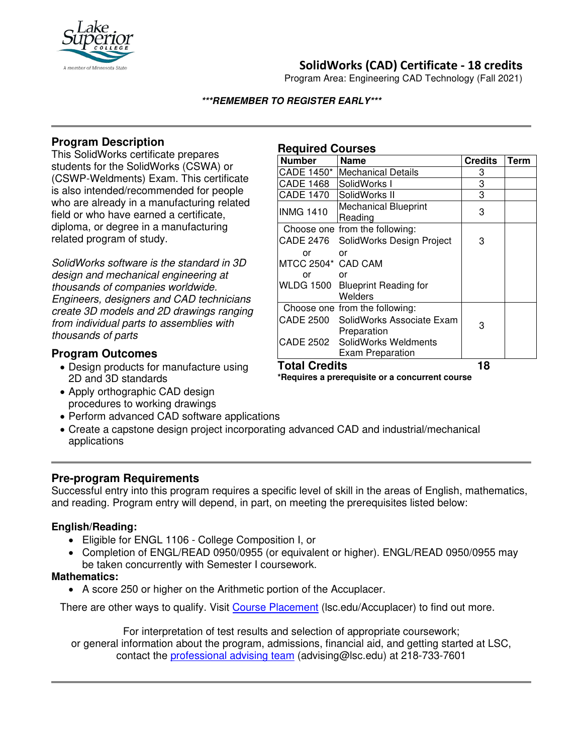

## **SolidWorks (CAD) Certificate - 18 credits**

Program Area: Engineering CAD Technology (Fall 2021)

#### **\*\*\*REMEMBER TO REGISTER EARLY\*\*\***

**Required Courses**

### **Program Description**

This SolidWorks certificate prepares students for the SolidWorks (CSWA) or (CSWP-Weldments) Exam. This certificate is also intended/recommended for people who are already in a manufacturing related field or who have earned a certificate, diploma, or degree in a manufacturing related program of study.

*SolidWorks software is the standard in 3D design and mechanical engineering at thousands of companies worldwide. Engineers, designers and CAD technicians create 3D models and 2D drawings ranging from individual parts to assemblies with thousands of parts*

### **Program Outcomes**

- Design products for manufacture using 2D and 3D standards
- Apply orthographic CAD design procedures to working drawings
- Perform advanced CAD software applications
- Create a capstone design project incorporating advanced CAD and industrial/mechanical applications

### **Pre-program Requirements**

Successful entry into this program requires a specific level of skill in the areas of English, mathematics, and reading. Program entry will depend, in part, on meeting the prerequisites listed below:

### **English/Reading:**

- Eligible for ENGL 1106 College Composition I, or
- Completion of ENGL/READ 0950/0955 (or equivalent or higher). ENGL/READ 0950/0955 may be taken concurrently with Semester I coursework.

### **Mathematics:**

• A score 250 or higher on the Arithmetic portion of the Accuplacer.

There are other ways to qualify. Visit [Course Placement](https://www.lsc.edu/course-placement/) (Isc.edu/Accuplacer) to find out more.

For interpretation of test results and selection of appropriate coursework; or general information about the program, admissions, financial aid, and getting started at LSC, contact the [professional advising team](mailto:advising@lsc.edu) (advising@lsc.edu) at 218-733-7601

| <b>Number</b>                               | <b>Name</b>                                                                          | <b>Credits</b> | Term |
|---------------------------------------------|--------------------------------------------------------------------------------------|----------------|------|
| CADE 1450*                                  | <b>Mechanical Details</b>                                                            | 3              |      |
| <b>CADE 1468</b>                            | SolidWorks I                                                                         | 3              |      |
| <b>CADE 1470</b>                            | SolidWorks II                                                                        | 3              |      |
| <b>INMG 1410</b>                            | <b>Mechanical Blueprint</b><br>Reading                                               | 3              |      |
|                                             | Choose one from the following:<br>CADE 2476 SolidWorks Design Project                | 3              |      |
| or<br>MTCC 2504* CAD CAM<br>or<br>WLDG 1500 | or<br>or<br><b>Blueprint Reading for</b><br>Welders                                  |                |      |
|                                             | Choose one from the following:<br>CADE 2500 SolidWorks Associate Exam<br>Preparation | 3              |      |

### **Total Credits 18**

CADE 2502 SolidWorks Weldments

**\*Requires a prerequisite or a concurrent course**

Exam Preparation